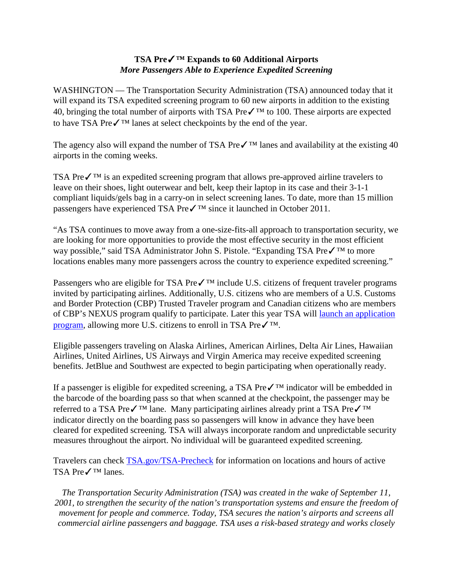# **TSA Pre**✓**™ Expands to 60 Additional Airports** *More Passengers Able to Experience Expedited Screening*

WASHINGTON — The Transportation Security Administration (TSA) announced today that it will expand its TSA expedited screening program to 60 new airports in addition to the existing 40, bringing the total number of airports with TSA Pre $\checkmark$ <sup>TM</sup> to 100. These airports are expected to have TSA Pre✓™ lanes at select checkpoints by the end of the year.

The agency also will expand the number of TSA Pre $\checkmark$ <sup>TM</sup> lanes and availability at the existing 40 airports in the coming weeks.

TSA Preê is an expedited screening program that allows pre-approved airline travelers to leave on their shoes, light outerwear and belt, keep their laptop in its case and their 3-1-1 compliant liquids/gels bag in a carry-on in select screening lanes. To date, more than 15 million passengers have experienced TSA Pre✓™ since it launched in October 2011.

"As TSA continues to move away from a one-size-fits-all approach to transportation security, we are looking for more opportunities to provide the most effective security in the most efficient way possible," said TSA Administrator John S. Pistole. "Expanding TSA Preê to more locations enables many more passengers across the country to experience expedited screening."

Passengers who are eligible for TSA Pre $\checkmark$ <sup>TM</sup> include U.S. citizens of frequent traveler programs invited by participating airlines. Additionally, U.S. citizens who are members of a U.S. Customs and Border Protection (CBP) Trusted Traveler program and Canadian citizens who are members of CBP's NEXUS program qualify to participate. Later this year TSA will [launch an application](http://www.tsa.gov/tsa-precheck/tsa-precheck-application-process)  [program,](http://www.tsa.gov/tsa-precheck/tsa-precheck-application-process) allowing more U.S. citizens to enroll in TSA Preê.

Eligible passengers traveling on Alaska Airlines, American Airlines, Delta Air Lines, Hawaiian Airlines, United Airlines, US Airways and Virgin America may receive expedited screening benefits. JetBlue and Southwest are expected to begin participating when operationally ready.

If a passenger is eligible for expedited screening, a TSA Pre✓™ indicator will be embedded in the barcode of the boarding pass so that when scanned at the checkpoint, the passenger may be referred to a TSA Preê lane. Many participating airlines already print a TSA Pre√™ indicator directly on the boarding pass so passengers will know in advance they have been cleared for expedited screening. TSA will always incorporate random and unpredictable security measures throughout the airport. No individual will be guaranteed expedited screening.

Travelers can check [TSA.gov/TSA-Precheck](http://www.tsa.gov/TSA-Precheck/) for information on locations and hours of active TSA Pre✓™ lanes.

*The Transportation Security Administration (TSA) was created in the wake of September 11, 2001, to strengthen the security of the nation's transportation systems and ensure the freedom of movement for people and commerce. Today, TSA secures the nation's airports and screens all commercial airline passengers and baggage. TSA uses a risk-based strategy and works closely*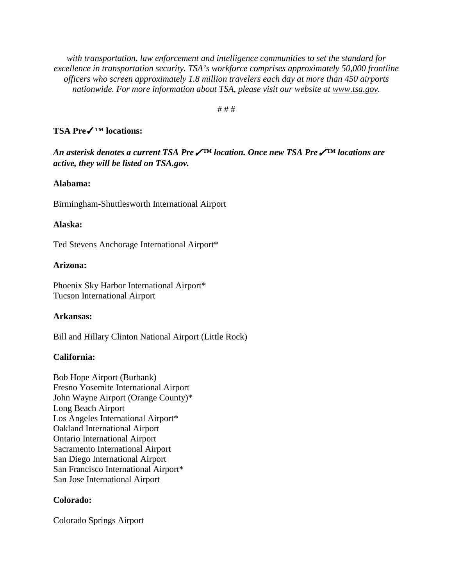*with transportation, law enforcement and intelligence communities to set the standard for excellence in transportation security. TSA's workforce comprises approximately 50,000 frontline officers who screen approximately 1.8 million travelers each day at more than 450 airports nationwide. For more information about TSA, please visit our website at [www.tsa.gov.](http://www.tsa.gov/)*

# # #

## **TSA Pre**✓**™ locations:**

*An asterisk denotes a current TSA Pre*✓*™ location. Once new TSA Pre*✓*™ locations are active, they will be listed on TSA.gov.* 

## **Alabama:**

Birmingham-Shuttlesworth International Airport

## **Alaska:**

Ted Stevens Anchorage International Airport\*

#### **Arizona:**

Phoenix Sky Harbor International Airport\* Tucson International Airport

## **Arkansas:**

Bill and Hillary Clinton National Airport (Little Rock)

## **California:**

Bob Hope Airport (Burbank) Fresno Yosemite International Airport John Wayne Airport (Orange County)\* Long Beach Airport Los Angeles International Airport\* Oakland International Airport Ontario International Airport Sacramento International Airport San Diego International Airport San Francisco International Airport\* San Jose International Airport

## **Colorado:**

Colorado Springs Airport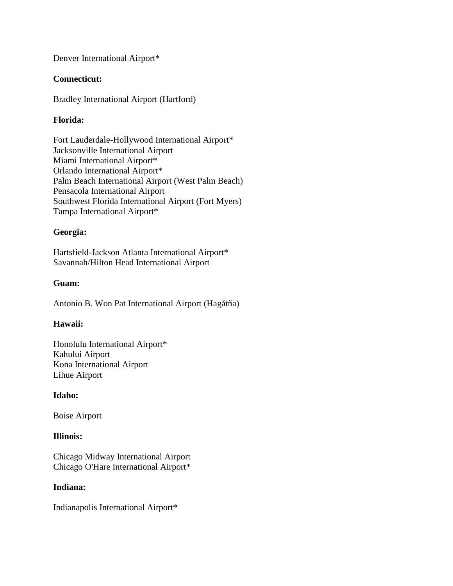Denver International Airport\*

## **Connecticut:**

Bradley International Airport (Hartford)

# **Florida:**

Fort Lauderdale-Hollywood International Airport\* Jacksonville International Airport Miami International Airport\* Orlando International Airport\* Palm Beach International Airport (West Palm Beach) Pensacola International Airport Southwest Florida International Airport (Fort Myers) Tampa International Airport\*

# **Georgia:**

Hartsfield-Jackson Atlanta International Airport\* Savannah/Hilton Head International Airport

# **Guam:**

Antonio B. Won Pat International Airport (Hagåtña)

# **Hawaii:**

Honolulu International Airport\* Kahului Airport Kona International Airport Lihue Airport

## **Idaho:**

Boise Airport

## **Illinois:**

Chicago Midway International Airport Chicago O'Hare International Airport\*

## **Indiana:**

Indianapolis International Airport\*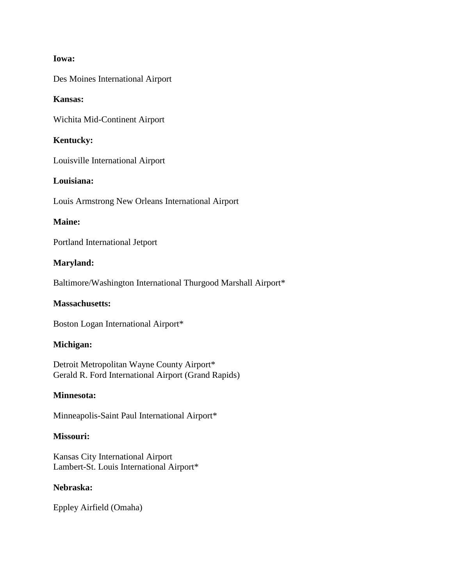## **Iowa:**

Des Moines International Airport

## **Kansas:**

Wichita Mid-Continent Airport

## **Kentucky:**

Louisville International Airport

## **Louisiana:**

Louis Armstrong New Orleans International Airport

## **Maine:**

Portland International Jetport

#### **Maryland:**

Baltimore/Washington International Thurgood Marshall Airport\*

## **Massachusetts:**

Boston Logan International Airport\*

#### **Michigan:**

Detroit Metropolitan Wayne County Airport\* Gerald R. Ford International Airport (Grand Rapids)

## **Minnesota:**

Minneapolis-Saint Paul International Airport\*

#### **Missouri:**

Kansas City International Airport Lambert-St. Louis International Airport\*

## **Nebraska:**

Eppley Airfield (Omaha)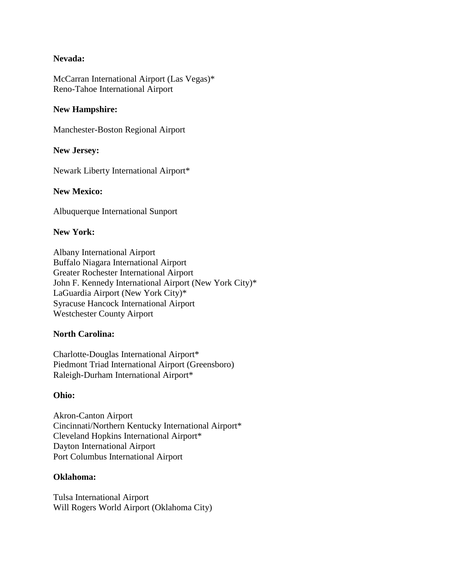## **Nevada:**

McCarran International Airport (Las Vegas)\* Reno-Tahoe International Airport

## **New Hampshire:**

Manchester-Boston Regional Airport

## **New Jersey:**

Newark Liberty International Airport\*

#### **New Mexico:**

Albuquerque International Sunport

## **New York:**

Albany International Airport Buffalo Niagara International Airport Greater Rochester International Airport John F. Kennedy International Airport (New York City)\* LaGuardia Airport (New York City)\* Syracuse Hancock International Airport Westchester County Airport

## **North Carolina:**

Charlotte-Douglas International Airport\* Piedmont Triad International Airport (Greensboro) Raleigh-Durham International Airport\*

#### **Ohio:**

Akron-Canton Airport Cincinnati/Northern Kentucky International Airport\* Cleveland Hopkins International Airport\* Dayton International Airport Port Columbus International Airport

#### **Oklahoma:**

Tulsa International Airport Will Rogers World Airport (Oklahoma City)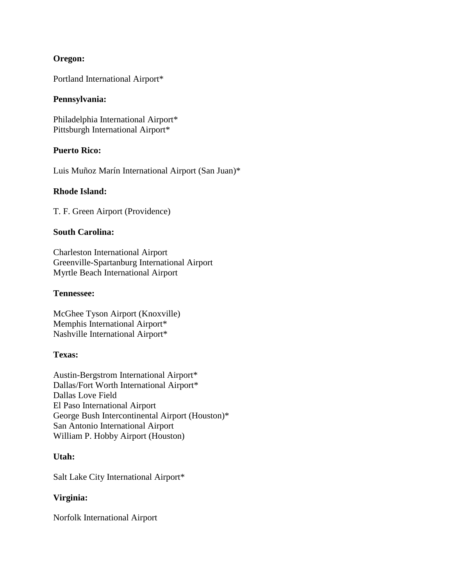## **Oregon:**

Portland International Airport\*

## **Pennsylvania:**

Philadelphia International Airport\* Pittsburgh International Airport\*

## **Puerto Rico:**

Luis Muñoz Marín International Airport (San Juan)\*

## **Rhode Island:**

T. F. Green Airport (Providence)

## **South Carolina:**

Charleston International Airport Greenville-Spartanburg International Airport Myrtle Beach International Airport

## **Tennessee:**

McGhee Tyson Airport (Knoxville) Memphis International Airport\* Nashville International Airport\*

## **Texas:**

Austin-Bergstrom International Airport\* Dallas/Fort Worth International Airport\* Dallas Love Field El Paso International Airport George Bush Intercontinental Airport (Houston)\* San Antonio International Airport William P. Hobby Airport (Houston)

## **Utah:**

Salt Lake City International Airport\*

## **Virginia:**

Norfolk International Airport